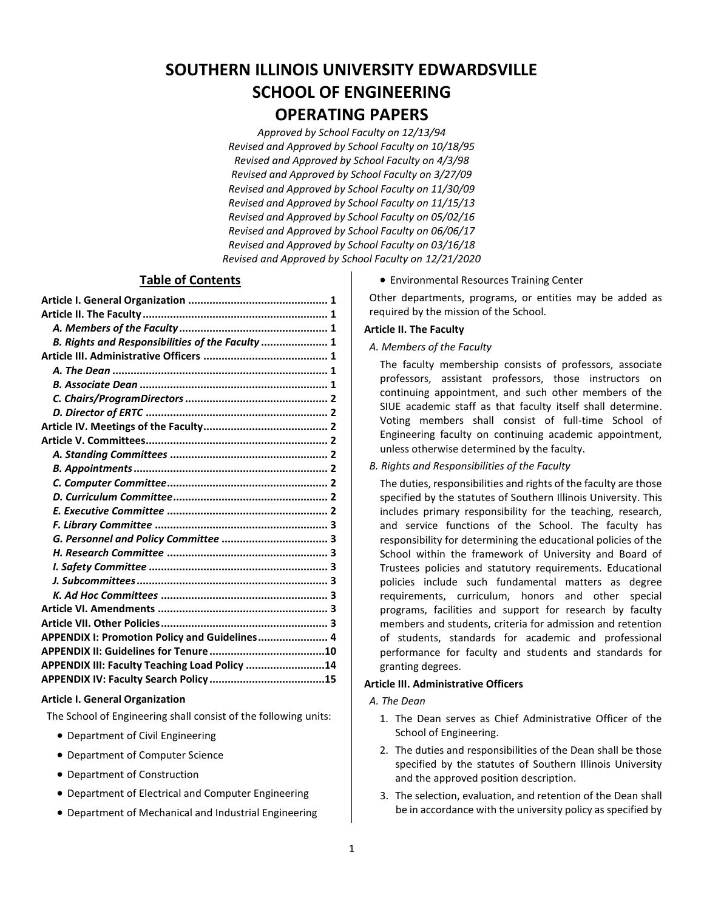# **SOUTHERN ILLINOIS UNIVERSITY EDWARDSVILLE SCHOOL OF ENGINEERING OPERATING PAPERS**

*Approved by School Faculty on 12/13/94 Revised and Approved by School Faculty on 10/18/95 Revised and Approved by School Faculty on 4/3/98 Revised and Approved by School Faculty on 3/27/09 Revised and Approved by School Faculty on 11/30/09 Revised and Approved by School Faculty on 11/15/13 Revised and Approved by School Faculty on 05/02/16 Revised and Approved by School Faculty on 06/06/17 Revised and Approved by School Faculty on 03/16/18 Revised and Approved by School Faculty on 12/21/2020*

# **Table of Contents**

| B. Rights and Responsibilities of the Faculty  1 |  |
|--------------------------------------------------|--|
|                                                  |  |
|                                                  |  |
|                                                  |  |
|                                                  |  |
|                                                  |  |
|                                                  |  |
|                                                  |  |
|                                                  |  |
|                                                  |  |
|                                                  |  |
|                                                  |  |
|                                                  |  |
|                                                  |  |
|                                                  |  |
|                                                  |  |
|                                                  |  |
|                                                  |  |
|                                                  |  |
|                                                  |  |
|                                                  |  |
| APPENDIX I: Promotion Policy and Guidelines 4    |  |
|                                                  |  |
| APPENDIX III: Faculty Teaching Load Policy 14    |  |
|                                                  |  |

#### **Article I. General Organization**

The School of Engineering shall consist of the following units:

- Department of Civil Engineering
- Department of Computer Science
- Department of Construction
- Department of Electrical and Computer Engineering
- Department of Mechanical and Industrial Engineering

• Environmental Resources Training Center

Other departments, programs, or entities may be added as required by the mission of the School.

#### <span id="page-0-0"></span>**Article II. The Faculty**

<span id="page-0-1"></span>*A. Members of the Faculty*

The faculty membership consists of professors, associate professors, assistant professors, those instructors on continuing appointment, and such other members of the SIUE academic staff as that faculty itself shall determine. Voting members shall consist of full-time School of Engineering faculty on continuing academic appointment, unless otherwise determined by the faculty.

<span id="page-0-2"></span>*B. Rights and Responsibilities of the Faculty*

The duties, responsibilities and rights of the faculty are those specified by the statutes of Southern Illinois University. This includes primary responsibility for the teaching, research, and service functions of the School. The faculty has responsibility for determining the educational policies of the School within the framework of University and Board of Trustees policies and statutory requirements. Educational policies include such fundamental matters as degree requirements, curriculum, honors and other special programs, facilities and support for research by faculty members and students, criteria for admission and retention of students, standards for academic and professional performance for faculty and students and standards for granting degrees.

## <span id="page-0-3"></span>**Article III. Administrative Officers**

#### <span id="page-0-4"></span>*A. The Dean*

- 1. The Dean serves as Chief Administrative Officer of the School of Engineering.
- 2. The duties and responsibilities of the Dean shall be those specified by the statutes of Southern Illinois University and the approved position description.
- 3. The selection, evaluation, and retention of the Dean shall be in accordance with the university policy as specified by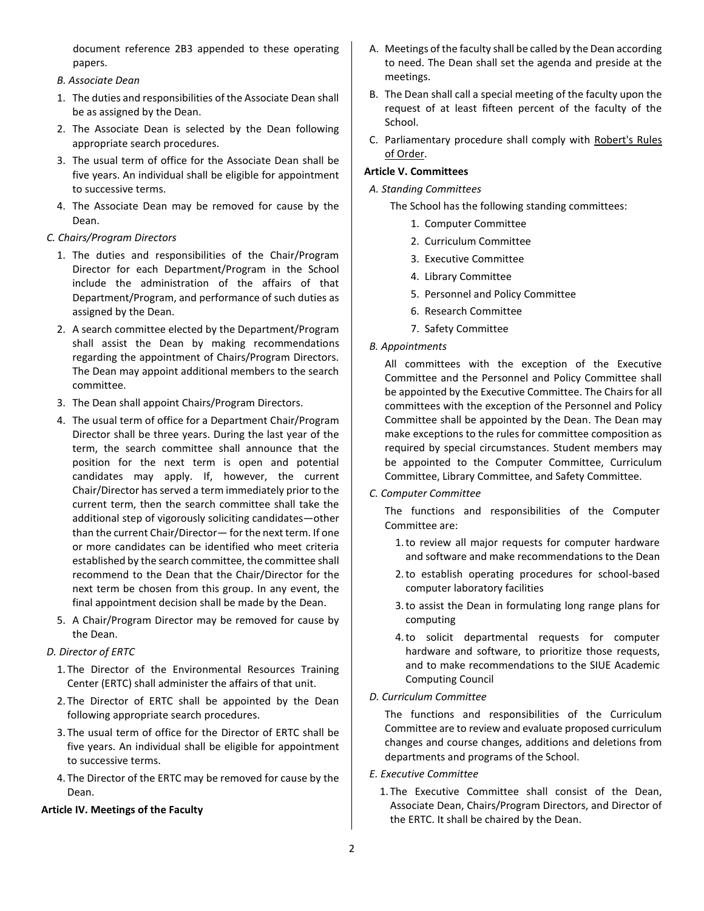<span id="page-1-0"></span>document reference 2B3 appended to these operating papers.

#### *B. Associate Dean*

- 1. The duties and responsibilities of the Associate Dean shall be as assigned by the Dean.
- 2. The Associate Dean is selected by the Dean following appropriate search procedures.
- 3. The usual term of office for the Associate Dean shall be five years. An individual shall be eligible for appointment to successive terms.
- 4. The Associate Dean may be removed for cause by the Dean.

#### <span id="page-1-1"></span>*C. Chairs/Program Directors*

- 1. The duties and responsibilities of the Chair/Program Director for each Department/Program in the School include the administration of the affairs of that Department/Program, and performance of such duties as assigned by the Dean.
- 2. A search committee elected by the Department/Program shall assist the Dean by making recommendations regarding the appointment of Chairs/Program Directors. The Dean may appoint additional members to the search committee.
- 3. The Dean shall appoint Chairs/Program Directors.
- 4. The usual term of office for a Department Chair/Program Director shall be three years. During the last year of the term, the search committee shall announce that the position for the next term is open and potential candidates may apply. If, however, the current Chair/Director has served a term immediately prior to the current term, then the search committee shall take the additional step of vigorously soliciting candidates—other than the current Chair/Director— for the next term. If one or more candidates can be identified who meet criteria established by the search committee, the committee shall recommend to the Dean that the Chair/Director for the next term be chosen from this group. In any event, the final appointment decision shall be made by the Dean.
- 5. A Chair/Program Director may be removed for cause by the Dean.

#### <span id="page-1-2"></span>*D. Director of ERTC*

- 1. The Director of the Environmental Resources Training Center (ERTC) shall administer the affairs of that unit.
- 2. The Director of ERTC shall be appointed by the Dean following appropriate search procedures.
- 3. The usual term of office for the Director of ERTC shall be five years. An individual shall be eligible for appointment to successive terms.
- 4. The Director of the ERTC may be removed for cause by the Dean.

#### <span id="page-1-3"></span>**Article IV. Meetings of the Faculty**

- A. Meetings of the faculty shall be called by the Dean according to need. The Dean shall set the agenda and preside at the meetings.
- B. The Dean shall call a special meeting of the faculty upon the request of at least fifteen percent of the faculty of the School.
- C. Parliamentary procedure shall comply with Robert's Rules of Order.

### <span id="page-1-4"></span>**Article V. Committees**

- <span id="page-1-5"></span>*A. Standing Committees*
	- The School has the following standing committees:
		- 1. Computer Committee
		- 2. Curriculum Committee
		- 3. Executive Committee
		- 4. Library Committee
		- 5. Personnel and Policy Committee
		- 6. Research Committee
		- 7. Safety Committee
- <span id="page-1-6"></span>*B. Appointments*

All committees with the exception of the Executive Committee and the Personnel and Policy Committee shall be appointed by the Executive Committee. The Chairs for all committees with the exception of the Personnel and Policy Committee shall be appointed by the Dean. The Dean may make exceptions to the rules for committee composition as required by special circumstances. Student members may be appointed to the Computer Committee, Curriculum Committee, Library Committee, and Safety Committee.

<span id="page-1-7"></span>*C. Computer Committee*

The functions and responsibilities of the Computer Committee are:

- 1.to review all major requests for computer hardware and software and make recommendations to the Dean
- 2.to establish operating procedures for school-based computer laboratory facilities
- 3.to assist the Dean in formulating long range plans for computing
- 4.to solicit departmental requests for computer hardware and software, to prioritize those requests, and to make recommendations to the SIUE Academic Computing Council

#### <span id="page-1-8"></span>*D. Curriculum Committee*

The functions and responsibilities of the Curriculum Committee are to review and evaluate proposed curriculum changes and course changes, additions and deletions from departments and programs of the School.

- <span id="page-1-9"></span>*E. Executive Committee*
	- 1. The Executive Committee shall consist of the Dean, Associate Dean, Chairs/Program Directors, and Director of the ERTC. It shall be chaired by the Dean.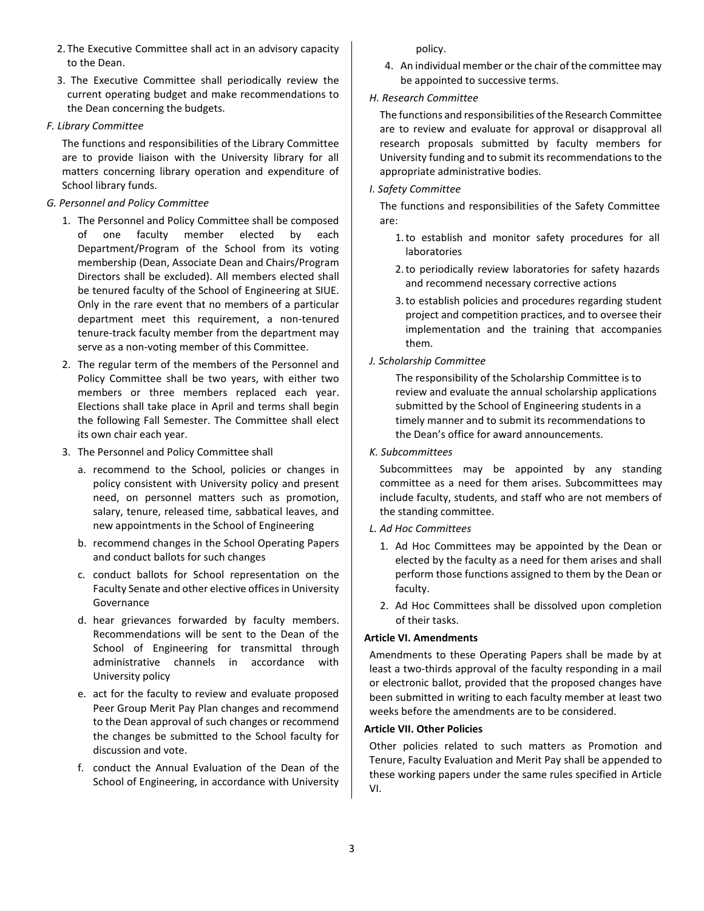- 2. The Executive Committee shall act in an advisory capacity to the Dean.
- 3. The Executive Committee shall periodically review the current operating budget and make recommendations to the Dean concerning the budgets.

#### <span id="page-2-0"></span>*F. Library Committee*

The functions and responsibilities of the Library Committee are to provide liaison with the University library for all matters concerning library operation and expenditure of School library funds.

#### <span id="page-2-1"></span>*G. Personnel and Policy Committee*

- 1. The Personnel and Policy Committee shall be composed of one faculty member elected by each Department/Program of the School from its voting membership (Dean, Associate Dean and Chairs/Program Directors shall be excluded). All members elected shall be tenured faculty of the School of Engineering at SIUE. Only in the rare event that no members of a particular department meet this requirement, a non-tenured tenure-track faculty member from the department may serve as a non-voting member of this Committee.
- 2. The regular term of the members of the Personnel and Policy Committee shall be two years, with either two members or three members replaced each year. Elections shall take place in April and terms shall begin the following Fall Semester. The Committee shall elect its own chair each year.
- 3. The Personnel and Policy Committee shall
	- a. recommend to the School, policies or changes in policy consistent with University policy and present need, on personnel matters such as promotion, salary, tenure, released time, sabbatical leaves, and new appointments in the School of Engineering
	- b. recommend changes in the School Operating Papers and conduct ballots for such changes
	- c. conduct ballots for School representation on the Faculty Senate and other elective offices in University Governance
	- d. hear grievances forwarded by faculty members. Recommendations will be sent to the Dean of the School of Engineering for transmittal through administrative channels in accordance with University policy
	- e. act for the faculty to review and evaluate proposed Peer Group Merit Pay Plan changes and recommend to the Dean approval of such changes or recommend the changes be submitted to the School faculty for discussion and vote.
	- f. conduct the Annual Evaluation of the Dean of the School of Engineering, in accordance with University

policy.

4. An individual member or the chair of the committee may be appointed to successive terms.

## <span id="page-2-2"></span>*H. Research Committee*

The functions and responsibilities of the Research Committee are to review and evaluate for approval or disapproval all research proposals submitted by faculty members for University funding and to submit its recommendations to the appropriate administrative bodies.

## <span id="page-2-3"></span>*I. Safety Committee*

The functions and responsibilities of the Safety Committee are:

- 1.to establish and monitor safety procedures for all laboratories
- 2.to periodically review laboratories for safety hazards and recommend necessary corrective actions
- 3.to establish policies and procedures regarding student project and competition practices, and to oversee their implementation and the training that accompanies them.
- <span id="page-2-4"></span>*J. Scholarship Committee*

The responsibility of the Scholarship Committee is to review and evaluate the annual scholarship applications submitted by the School of Engineering students in a timely manner and to submit its recommendations to the Dean's office for award announcements.

## *K. Subcommittees*

Subcommittees may be appointed by any standing committee as a need for them arises. Subcommittees may include faculty, students, and staff who are not members of the standing committee.

- <span id="page-2-5"></span>*L. Ad Hoc Committees*
	- 1. Ad Hoc Committees may be appointed by the Dean or elected by the faculty as a need for them arises and shall perform those functions assigned to them by the Dean or faculty.
	- 2. Ad Hoc Committees shall be dissolved upon completion of their tasks.

# <span id="page-2-6"></span>**Article VI. Amendments**

Amendments to these Operating Papers shall be made by at least a two-thirds approval of the faculty responding in a mail or electronic ballot, provided that the proposed changes have been submitted in writing to each faculty member at least two weeks before the amendments are to be considered.

#### <span id="page-2-7"></span>**Article VII. Other Policies**

Other policies related to such matters as Promotion and Tenure, Faculty Evaluation and Merit Pay shall be appended to these working papers under the same rules specified in Article VI.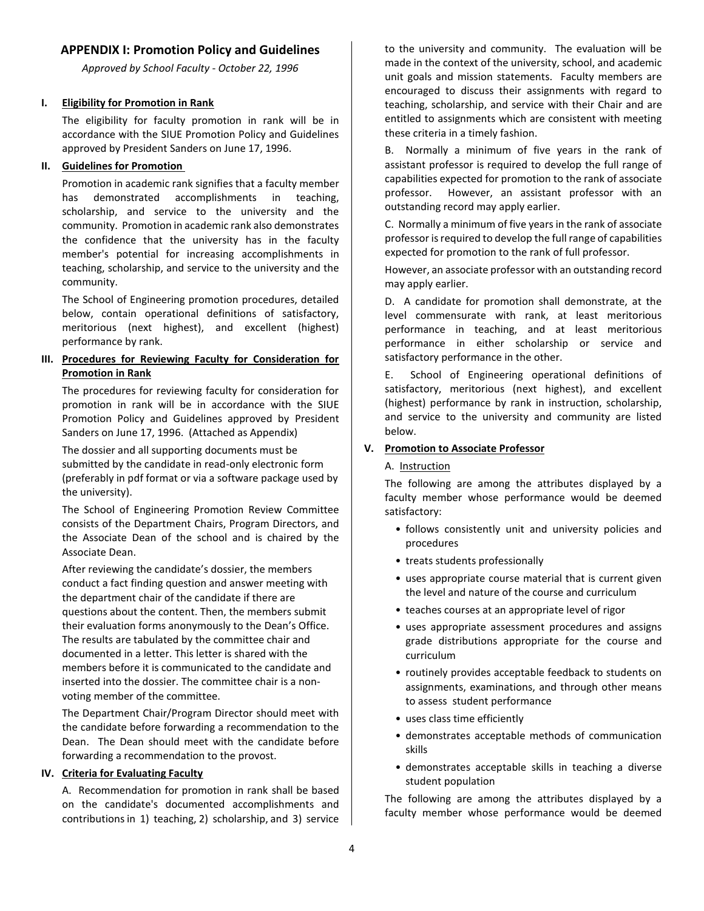# <span id="page-3-0"></span>**APPENDIX I: Promotion Policy and Guidelines**

*Approved by School Faculty - October 22, 1996*

#### **I. Eligibility for Promotion in Rank**

The eligibility for faculty promotion in rank will be in accordance with the SIUE Promotion Policy and Guidelines approved by President Sanders on June 17, 1996.

### **II. Guidelines for Promotion**

Promotion in academic rank signifies that a faculty member has demonstrated accomplishments in teaching, scholarship, and service to the university and the community. Promotion in academic rank also demonstrates the confidence that the university has in the faculty member's potential for increasing accomplishments in teaching, scholarship, and service to the university and the community.

The School of Engineering promotion procedures, detailed below, contain operational definitions of satisfactory, meritorious (next highest), and excellent (highest) performance by rank.

#### **III. Procedures for Reviewing Faculty for Consideration for Promotion in Rank**

The procedures for reviewing faculty for consideration for promotion in rank will be in accordance with the SIUE Promotion Policy and Guidelines approved by President Sanders on June 17, 1996. (Attached as Appendix)

The dossier and all supporting documents must be submitted by the candidate in read-only electronic form (preferably in pdf format or via a software package used by the university).

The School of Engineering Promotion Review Committee consists of the Department Chairs, Program Directors, and the Associate Dean of the school and is chaired by the Associate Dean.

After reviewing the candidate's dossier, the members conduct a fact finding question and answer meeting with the department chair of the candidate if there are questions about the content. Then, the members submit their evaluation forms anonymously to the Dean's Office. The results are tabulated by the committee chair and documented in a letter. This letter is shared with the members before it is communicated to the candidate and inserted into the dossier. The committee chair is a nonvoting member of the committee.

The Department Chair/Program Director should meet with the candidate before forwarding a recommendation to the Dean. The Dean should meet with the candidate before forwarding a recommendation to the provost.

#### **IV. Criteria for Evaluating Faculty**

A. Recommendation for promotion in rank shall be based on the candidate's documented accomplishments and contributions in 1) teaching, 2) scholarship, and 3) service

to the university and community. The evaluation will be made in the context of the university, school, and academic unit goals and mission statements. Faculty members are encouraged to discuss their assignments with regard to teaching, scholarship, and service with their Chair and are entitled to assignments which are consistent with meeting these criteria in a timely fashion.

B. Normally a minimum of five years in the rank of assistant professor is required to develop the full range of capabilities expected for promotion to the rank of associate professor. However, an assistant professor with an outstanding record may apply earlier.

C. Normally a minimum of five years in the rank of associate professor is required to develop the full range of capabilities expected for promotion to the rank of full professor.

However, an associate professor with an outstanding record may apply earlier.

D. A candidate for promotion shall demonstrate, at the level commensurate with rank, at least meritorious performance in teaching, and at least meritorious performance in either scholarship or service and satisfactory performance in the other.

E. School of Engineering operational definitions of satisfactory, meritorious (next highest), and excellent (highest) performance by rank in instruction, scholarship, and service to the university and community are listed below.

## **V. Promotion to Associate Professor**

#### A. Instruction

The following are among the attributes displayed by a faculty member whose performance would be deemed satisfactory:

- follows consistently unit and university policies and procedures
- treats students professionally
- uses appropriate course material that is current given the level and nature of the course and curriculum
- teaches courses at an appropriate level of rigor
- uses appropriate assessment procedures and assigns grade distributions appropriate for the course and curriculum
- routinely provides acceptable feedback to students on assignments, examinations, and through other means to assess student performance
- uses class time efficiently
- demonstrates acceptable methods of communication skills
- demonstrates acceptable skills in teaching a diverse student population

The following are among the attributes displayed by a faculty member whose performance would be deemed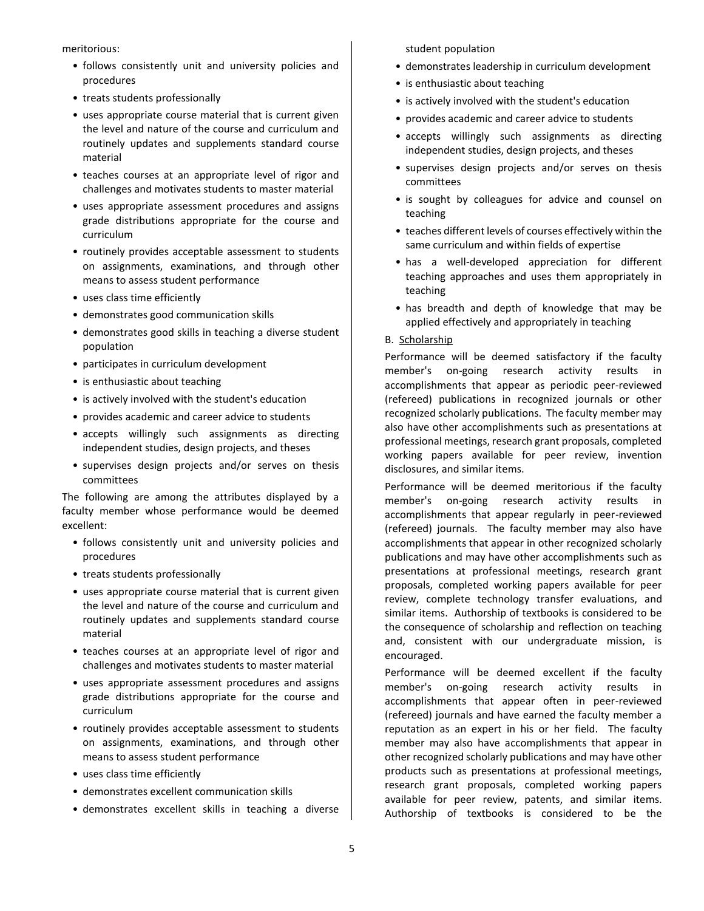meritorious:

- follows consistently unit and university policies and procedures
- treats students professionally
- uses appropriate course material that is current given the level and nature of the course and curriculum and routinely updates and supplements standard course material
- teaches courses at an appropriate level of rigor and challenges and motivates students to master material
- uses appropriate assessment procedures and assigns grade distributions appropriate for the course and curriculum
- routinely provides acceptable assessment to students on assignments, examinations, and through other means to assess student performance
- uses class time efficiently
- demonstrates good communication skills
- demonstrates good skills in teaching a diverse student population
- participates in curriculum development
- is enthusiastic about teaching
- is actively involved with the student's education
- provides academic and career advice to students
- accepts willingly such assignments as directing independent studies, design projects, and theses
- supervises design projects and/or serves on thesis committees

The following are among the attributes displayed by a faculty member whose performance would be deemed excellent:

- follows consistently unit and university policies and procedures
- treats students professionally
- uses appropriate course material that is current given the level and nature of the course and curriculum and routinely updates and supplements standard course material
- teaches courses at an appropriate level of rigor and challenges and motivates students to master material
- uses appropriate assessment procedures and assigns grade distributions appropriate for the course and curriculum
- routinely provides acceptable assessment to students on assignments, examinations, and through other means to assess student performance
- uses class time efficiently
- demonstrates excellent communication skills
- demonstrates excellent skills in teaching a diverse

student population

- demonstrates leadership in curriculum development
- is enthusiastic about teaching
- is actively involved with the student's education
- provides academic and career advice to students
- accepts willingly such assignments as directing independent studies, design projects, and theses
- supervises design projects and/or serves on thesis committees
- is sought by colleagues for advice and counsel on teaching
- teaches different levels of courses effectively within the same curriculum and within fields of expertise
- has a well-developed appreciation for different teaching approaches and uses them appropriately in teaching
- has breadth and depth of knowledge that may be applied effectively and appropriately in teaching

#### B. Scholarship

Performance will be deemed satisfactory if the faculty member's on-going research activity results in accomplishments that appear as periodic peer-reviewed (refereed) publications in recognized journals or other recognized scholarly publications. The faculty member may also have other accomplishments such as presentations at professional meetings, research grant proposals, completed working papers available for peer review, invention disclosures, and similar items.

Performance will be deemed meritorious if the faculty member's on-going research activity results in accomplishments that appear regularly in peer-reviewed (refereed) journals. The faculty member may also have accomplishments that appear in other recognized scholarly publications and may have other accomplishments such as presentations at professional meetings, research grant proposals, completed working papers available for peer review, complete technology transfer evaluations, and similar items. Authorship of textbooks is considered to be the consequence of scholarship and reflection on teaching and, consistent with our undergraduate mission, is encouraged.

Performance will be deemed excellent if the faculty member's on-going research activity results in accomplishments that appear often in peer-reviewed (refereed) journals and have earned the faculty member a reputation as an expert in his or her field. The faculty member may also have accomplishments that appear in other recognized scholarly publications and may have other products such as presentations at professional meetings, research grant proposals, completed working papers available for peer review, patents, and similar items. Authorship of textbooks is considered to be the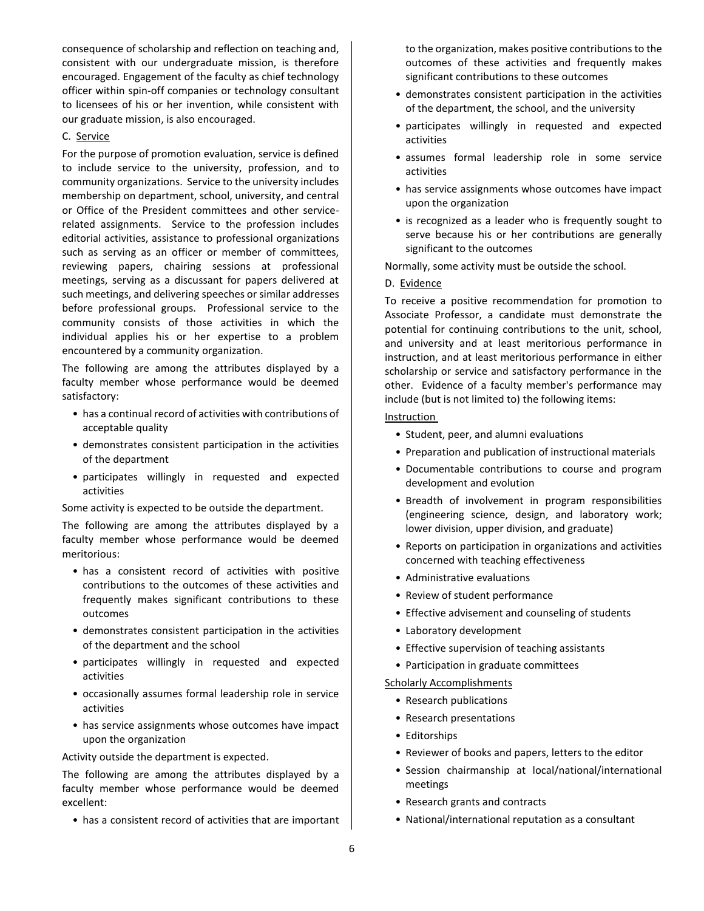consequence of scholarship and reflection on teaching and, consistent with our undergraduate mission, is therefore encouraged. Engagement of the faculty as chief technology officer within spin-off companies or technology consultant to licensees of his or her invention, while consistent with our graduate mission, is also encouraged.

#### C. Service

For the purpose of promotion evaluation, service is defined to include service to the university, profession, and to community organizations. Service to the university includes membership on department, school, university, and central or Office of the President committees and other servicerelated assignments. Service to the profession includes editorial activities, assistance to professional organizations such as serving as an officer or member of committees, reviewing papers, chairing sessions at professional meetings, serving as a discussant for papers delivered at such meetings, and delivering speeches or similar addresses before professional groups. Professional service to the community consists of those activities in which the individual applies his or her expertise to a problem encountered by a community organization.

The following are among the attributes displayed by a faculty member whose performance would be deemed satisfactory:

- has a continual record of activities with contributions of acceptable quality
- demonstrates consistent participation in the activities of the department
- participates willingly in requested and expected activities

Some activity is expected to be outside the department.

The following are among the attributes displayed by a faculty member whose performance would be deemed meritorious:

- has a consistent record of activities with positive contributions to the outcomes of these activities and frequently makes significant contributions to these outcomes
- demonstrates consistent participation in the activities of the department and the school
- participates willingly in requested and expected activities
- occasionally assumes formal leadership role in service activities
- has service assignments whose outcomes have impact upon the organization

#### Activity outside the department is expected.

The following are among the attributes displayed by a faculty member whose performance would be deemed excellent:

• has a consistent record of activities that are important

to the organization, makes positive contributions to the outcomes of these activities and frequently makes significant contributions to these outcomes

- demonstrates consistent participation in the activities of the department, the school, and the university
- participates willingly in requested and expected activities
- assumes formal leadership role in some service activities
- has service assignments whose outcomes have impact upon the organization
- is recognized as a leader who is frequently sought to serve because his or her contributions are generally significant to the outcomes

Normally, some activity must be outside the school.

#### D. Evidence

To receive a positive recommendation for promotion to Associate Professor, a candidate must demonstrate the potential for continuing contributions to the unit, school, and university and at least meritorious performance in instruction, and at least meritorious performance in either scholarship or service and satisfactory performance in the other. Evidence of a faculty member's performance may include (but is not limited to) the following items:

### Instruction

- Student, peer, and alumni evaluations
- Preparation and publication of instructional materials
- Documentable contributions to course and program development and evolution
- Breadth of involvement in program responsibilities (engineering science, design, and laboratory work; lower division, upper division, and graduate)
- Reports on participation in organizations and activities concerned with teaching effectiveness
- Administrative evaluations
- Review of student performance
- Effective advisement and counseling of students
- Laboratory development
- Effective supervision of teaching assistants
- Participation in graduate committees

#### **Scholarly Accomplishments**

- Research publications
- Research presentations
- Editorships
- Reviewer of books and papers, letters to the editor
- Session chairmanship at local/national/international meetings
- Research grants and contracts
- National/international reputation as a consultant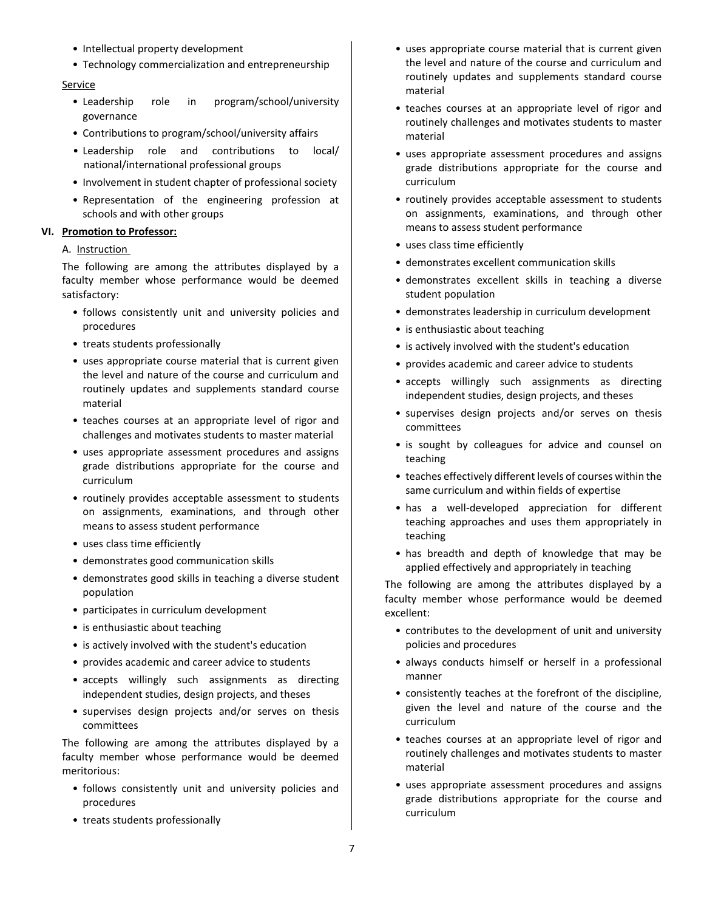- Intellectual property development
- Technology commercialization and entrepreneurship

#### Service

- Leadership role in program/school/university governance
- Contributions to program/school/university affairs
- Leadership role and contributions to local/ national/international professional groups
- Involvement in student chapter of professional society
- Representation of the engineering profession at schools and with other groups

#### **VI. Promotion to Professor:**

#### A. Instruction

The following are among the attributes displayed by a faculty member whose performance would be deemed satisfactory:

- follows consistently unit and university policies and procedures
- treats students professionally
- uses appropriate course material that is current given the level and nature of the course and curriculum and routinely updates and supplements standard course material
- teaches courses at an appropriate level of rigor and challenges and motivates students to master material
- uses appropriate assessment procedures and assigns grade distributions appropriate for the course and curriculum
- routinely provides acceptable assessment to students on assignments, examinations, and through other means to assess student performance
- uses class time efficiently
- demonstrates good communication skills
- demonstrates good skills in teaching a diverse student population
- participates in curriculum development
- is enthusiastic about teaching
- is actively involved with the student's education
- provides academic and career advice to students
- accepts willingly such assignments as directing independent studies, design projects, and theses
- supervises design projects and/or serves on thesis committees

The following are among the attributes displayed by a faculty member whose performance would be deemed meritorious:

- follows consistently unit and university policies and procedures
- treats students professionally
- uses appropriate course material that is current given the level and nature of the course and curriculum and routinely updates and supplements standard course material
- teaches courses at an appropriate level of rigor and routinely challenges and motivates students to master material
- uses appropriate assessment procedures and assigns grade distributions appropriate for the course and curriculum
- routinely provides acceptable assessment to students on assignments, examinations, and through other means to assess student performance
- uses class time efficiently
- demonstrates excellent communication skills
- demonstrates excellent skills in teaching a diverse student population
- demonstrates leadership in curriculum development
- is enthusiastic about teaching
- is actively involved with the student's education
- provides academic and career advice to students
- accepts willingly such assignments as directing independent studies, design projects, and theses
- supervises design projects and/or serves on thesis committees
- is sought by colleagues for advice and counsel on teaching
- teaches effectively different levels of courses within the same curriculum and within fields of expertise
- has a well-developed appreciation for different teaching approaches and uses them appropriately in teaching
- has breadth and depth of knowledge that may be applied effectively and appropriately in teaching

The following are among the attributes displayed by a faculty member whose performance would be deemed excellent:

- contributes to the development of unit and university policies and procedures
- always conducts himself or herself in a professional manner
- consistently teaches at the forefront of the discipline, given the level and nature of the course and the curriculum
- teaches courses at an appropriate level of rigor and routinely challenges and motivates students to master material
- uses appropriate assessment procedures and assigns grade distributions appropriate for the course and curriculum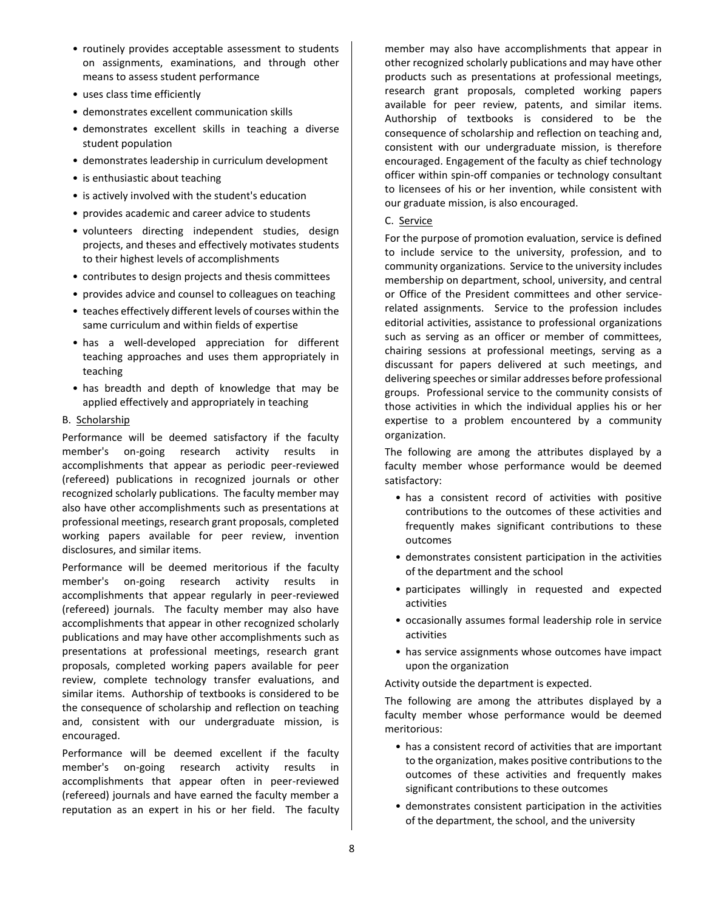- routinely provides acceptable assessment to students on assignments, examinations, and through other means to assess student performance
- uses class time efficiently
- demonstrates excellent communication skills
- demonstrates excellent skills in teaching a diverse student population
- demonstrates leadership in curriculum development
- is enthusiastic about teaching
- is actively involved with the student's education
- provides academic and career advice to students
- volunteers directing independent studies, design projects, and theses and effectively motivates students to their highest levels of accomplishments
- contributes to design projects and thesis committees
- provides advice and counsel to colleagues on teaching
- teaches effectively different levels of courses within the same curriculum and within fields of expertise
- has a well-developed appreciation for different teaching approaches and uses them appropriately in teaching
- has breadth and depth of knowledge that may be applied effectively and appropriately in teaching

#### B. Scholarship

Performance will be deemed satisfactory if the faculty member's on-going research activity results in accomplishments that appear as periodic peer-reviewed (refereed) publications in recognized journals or other recognized scholarly publications. The faculty member may also have other accomplishments such as presentations at professional meetings, research grant proposals, completed working papers available for peer review, invention disclosures, and similar items.

Performance will be deemed meritorious if the faculty member's on-going research activity results in accomplishments that appear regularly in peer-reviewed (refereed) journals. The faculty member may also have accomplishments that appear in other recognized scholarly publications and may have other accomplishments such as presentations at professional meetings, research grant proposals, completed working papers available for peer review, complete technology transfer evaluations, and similar items. Authorship of textbooks is considered to be the consequence of scholarship and reflection on teaching and, consistent with our undergraduate mission, is encouraged.

Performance will be deemed excellent if the faculty member's on-going research activity results in accomplishments that appear often in peer-reviewed (refereed) journals and have earned the faculty member a reputation as an expert in his or her field. The faculty member may also have accomplishments that appear in other recognized scholarly publications and may have other products such as presentations at professional meetings, research grant proposals, completed working papers available for peer review, patents, and similar items. Authorship of textbooks is considered to be the consequence of scholarship and reflection on teaching and, consistent with our undergraduate mission, is therefore encouraged. Engagement of the faculty as chief technology officer within spin-off companies or technology consultant to licensees of his or her invention, while consistent with our graduate mission, is also encouraged.

#### C. Service

For the purpose of promotion evaluation, service is defined to include service to the university, profession, and to community organizations. Service to the university includes membership on department, school, university, and central or Office of the President committees and other servicerelated assignments. Service to the profession includes editorial activities, assistance to professional organizations such as serving as an officer or member of committees, chairing sessions at professional meetings, serving as a discussant for papers delivered at such meetings, and delivering speeches or similar addresses before professional groups. Professional service to the community consists of those activities in which the individual applies his or her expertise to a problem encountered by a community organization.

The following are among the attributes displayed by a faculty member whose performance would be deemed satisfactory:

- has a consistent record of activities with positive contributions to the outcomes of these activities and frequently makes significant contributions to these outcomes
- demonstrates consistent participation in the activities of the department and the school
- participates willingly in requested and expected activities
- occasionally assumes formal leadership role in service activities
- has service assignments whose outcomes have impact upon the organization

Activity outside the department is expected.

The following are among the attributes displayed by a faculty member whose performance would be deemed meritorious:

- has a consistent record of activities that are important to the organization, makes positive contributions to the outcomes of these activities and frequently makes significant contributions to these outcomes
- demonstrates consistent participation in the activities of the department, the school, and the university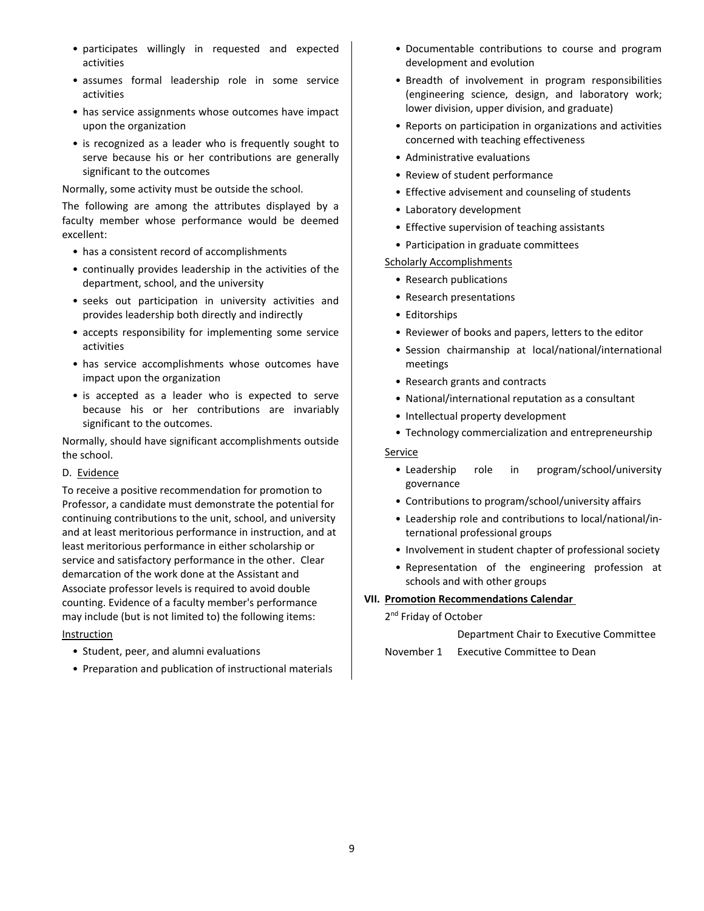- participates willingly in requested and expected activities
- assumes formal leadership role in some service activities
- has service assignments whose outcomes have impact upon the organization
- is recognized as a leader who is frequently sought to serve because his or her contributions are generally significant to the outcomes

Normally, some activity must be outside the school.

The following are among the attributes displayed by a faculty member whose performance would be deemed excellent:

- has a consistent record of accomplishments
- continually provides leadership in the activities of the department, school, and the university
- seeks out participation in university activities and provides leadership both directly and indirectly
- accepts responsibility for implementing some service activities
- has service accomplishments whose outcomes have impact upon the organization
- is accepted as a leader who is expected to serve because his or her contributions are invariably significant to the outcomes.

Normally, should have significant accomplishments outside the school.

#### D. Evidence

To receive a positive recommendation for promotion to Professor, a candidate must demonstrate the potential for continuing contributions to the unit, school, and university and at least meritorious performance in instruction, and at least meritorious performance in either scholarship or service and satisfactory performance in the other. Clear demarcation of the work done at the Assistant and Associate professor levels is required to avoid double counting. Evidence of a faculty member's performance may include (but is not limited to) the following items:

#### Instruction

- Student, peer, and alumni evaluations
- Preparation and publication of instructional materials
- Documentable contributions to course and program development and evolution
- Breadth of involvement in program responsibilities (engineering science, design, and laboratory work; lower division, upper division, and graduate)
- Reports on participation in organizations and activities concerned with teaching effectiveness
- Administrative evaluations
- Review of student performance
- Effective advisement and counseling of students
- Laboratory development
- Effective supervision of teaching assistants
- Participation in graduate committees
- **Scholarly Accomplishments** 
	- Research publications
	- Research presentations
	- Editorships
	- Reviewer of books and papers, letters to the editor
	- Session chairmanship at local/national/international meetings
	- Research grants and contracts
	- National/international reputation as a consultant
	- Intellectual property development
- Technology commercialization and entrepreneurship

Service

- Leadership role in program/school/university governance
- Contributions to program/school/university affairs
- Leadership role and contributions to local/national/international professional groups
- Involvement in student chapter of professional society
- Representation of the engineering profession at schools and with other groups

# **VII. Promotion Recommendations Calendar**

2<sup>nd</sup> Friday of October

Department Chair to Executive Committee

November 1 Executive Committee to Dean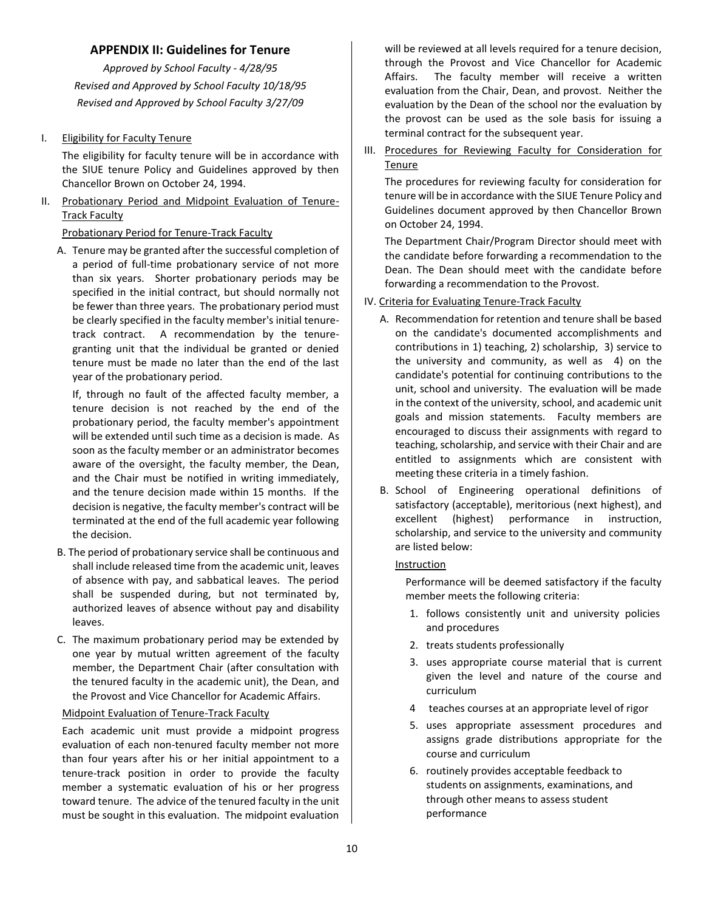# **APPENDIX II: Guidelines for Tenure**

<span id="page-9-0"></span>*Approved by School Faculty - 4/28/95 Revised and Approved by School Faculty 10/18/95 Revised and Approved by School Faculty 3/27/09*

## I. Eligibility for Faculty Tenure

The eligibility for faculty tenure will be in accordance with the SIUE tenure Policy and Guidelines approved by then Chancellor Brown on October 24, 1994.

II. Probationary Period and Midpoint Evaluation of Tenure-Track Faculty

#### Probationary Period for Tenure-Track Faculty

A. Tenure may be granted after the successful completion of a period of full-time probationary service of not more than six years. Shorter probationary periods may be specified in the initial contract, but should normally not be fewer than three years. The probationary period must be clearly specified in the faculty member's initial tenuretrack contract. A recommendation by the tenuregranting unit that the individual be granted or denied tenure must be made no later than the end of the last year of the probationary period.

If, through no fault of the affected faculty member, a tenure decision is not reached by the end of the probationary period, the faculty member's appointment will be extended until such time as a decision is made. As soon as the faculty member or an administrator becomes aware of the oversight, the faculty member, the Dean, and the Chair must be notified in writing immediately, and the tenure decision made within 15 months. If the decision is negative, the faculty member's contract will be terminated at the end of the full academic year following the decision.

- B. The period of probationary service shall be continuous and shall include released time from the academic unit, leaves of absence with pay, and sabbatical leaves. The period shall be suspended during, but not terminated by, authorized leaves of absence without pay and disability leaves.
- C. The maximum probationary period may be extended by one year by mutual written agreement of the faculty member, the Department Chair (after consultation with the tenured faculty in the academic unit), the Dean, and the Provost and Vice Chancellor for Academic Affairs.

#### Midpoint Evaluation of Tenure-Track Faculty

Each academic unit must provide a midpoint progress evaluation of each non-tenured faculty member not more than four years after his or her initial appointment to a tenure-track position in order to provide the faculty member a systematic evaluation of his or her progress toward tenure. The advice of the tenured faculty in the unit must be sought in this evaluation. The midpoint evaluation will be reviewed at all levels required for a tenure decision, through the Provost and Vice Chancellor for Academic Affairs. The faculty member will receive a written evaluation from the Chair, Dean, and provost. Neither the evaluation by the Dean of the school nor the evaluation by the provost can be used as the sole basis for issuing a terminal contract for the subsequent year.

## III. Procedures for Reviewing Faculty for Consideration for Tenure

The procedures for reviewing faculty for consideration for tenure will be in accordance with the SIUE Tenure Policy and Guidelines document approved by then Chancellor Brown on October 24, 1994.

The Department Chair/Program Director should meet with the candidate before forwarding a recommendation to the Dean. The Dean should meet with the candidate before forwarding a recommendation to the Provost.

#### IV. Criteria for Evaluating Tenure-Track Faculty

- A. Recommendation for retention and tenure shall be based on the candidate's documented accomplishments and contributions in 1) teaching, 2) scholarship, 3) service to the university and community, as well as 4) on the candidate's potential for continuing contributions to the unit, school and university. The evaluation will be made in the context of the university, school, and academic unit goals and mission statements. Faculty members are encouraged to discuss their assignments with regard to teaching, scholarship, and service with their Chair and are entitled to assignments which are consistent with meeting these criteria in a timely fashion.
- B. School of Engineering operational definitions of satisfactory (acceptable), meritorious (next highest), and excellent (highest) performance in instruction, scholarship, and service to the university and community are listed below:

#### Instruction

Performance will be deemed satisfactory if the faculty member meets the following criteria:

- 1. follows consistently unit and university policies and procedures
- 2. treats students professionally
- 3. uses appropriate course material that is current given the level and nature of the course and curriculum
- 4 teaches courses at an appropriate level of rigor
- 5. uses appropriate assessment procedures and assigns grade distributions appropriate for the course and curriculum
- 6. routinely provides acceptable feedback to students on assignments, examinations, and through other means to assess student performance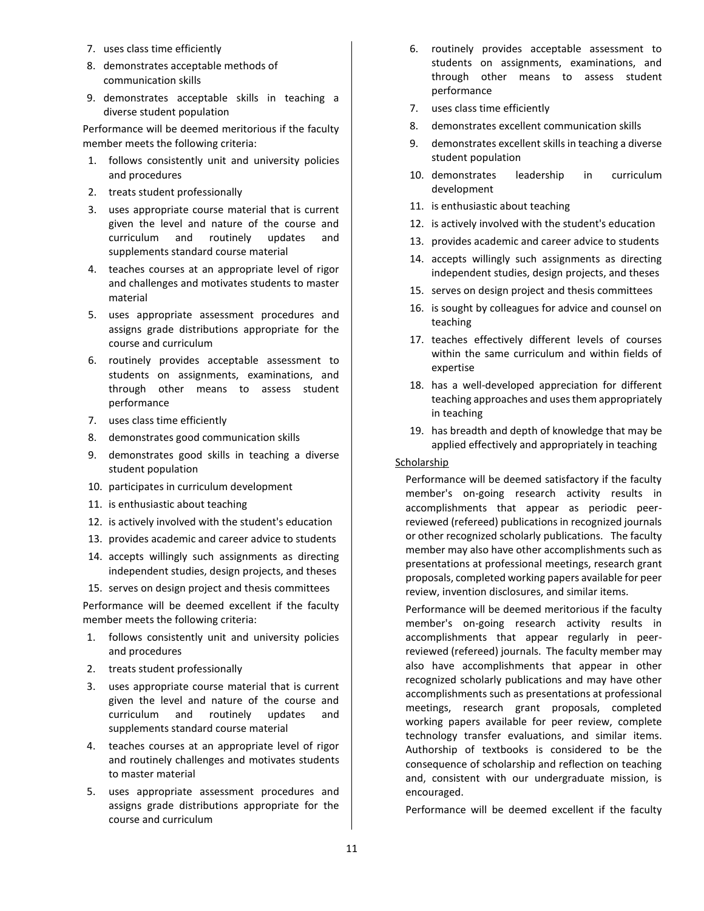- 7. uses class time efficiently
- 8. demonstrates acceptable methods of communication skills
- 9. demonstrates acceptable skills in teaching a diverse student population

Performance will be deemed meritorious if the faculty member meets the following criteria:

- 1. follows consistently unit and university policies and procedures
- 2. treats student professionally
- 3. uses appropriate course material that is current given the level and nature of the course and curriculum and routinely updates and supplements standard course material
- 4. teaches courses at an appropriate level of rigor and challenges and motivates students to master material
- 5. uses appropriate assessment procedures and assigns grade distributions appropriate for the course and curriculum
- 6. routinely provides acceptable assessment to students on assignments, examinations, and through other means to assess student performance
- 7. uses class time efficiently
- 8. demonstrates good communication skills
- 9. demonstrates good skills in teaching a diverse student population
- 10. participates in curriculum development
- 11. is enthusiastic about teaching
- 12. is actively involved with the student's education
- 13. provides academic and career advice to students
- 14. accepts willingly such assignments as directing independent studies, design projects, and theses
- 15. serves on design project and thesis committees

Performance will be deemed excellent if the faculty member meets the following criteria:

- 1. follows consistently unit and university policies and procedures
- 2. treats student professionally
- 3. uses appropriate course material that is current given the level and nature of the course and curriculum and routinely updates and supplements standard course material
- 4. teaches courses at an appropriate level of rigor and routinely challenges and motivates students to master material
- 5. uses appropriate assessment procedures and assigns grade distributions appropriate for the course and curriculum
- 6. routinely provides acceptable assessment to students on assignments, examinations, and through other means to assess student performance
- 7. uses class time efficiently
- 8. demonstrates excellent communication skills
- 9. demonstrates excellent skills in teaching a diverse student population
- 10. demonstrates leadership in curriculum development
- 11. is enthusiastic about teaching
- 12. is actively involved with the student's education
- 13. provides academic and career advice to students
- 14. accepts willingly such assignments as directing independent studies, design projects, and theses
- 15. serves on design project and thesis committees
- 16. is sought by colleagues for advice and counsel on teaching
- 17. teaches effectively different levels of courses within the same curriculum and within fields of expertise
- 18. has a well-developed appreciation for different teaching approaches and uses them appropriately in teaching
- 19. has breadth and depth of knowledge that may be applied effectively and appropriately in teaching

#### **Scholarship**

Performance will be deemed satisfactory if the faculty member's on-going research activity results in accomplishments that appear as periodic peerreviewed (refereed) publications in recognized journals or other recognized scholarly publications. The faculty member may also have other accomplishments such as presentations at professional meetings, research grant proposals, completed working papers available for peer review, invention disclosures, and similar items.

Performance will be deemed meritorious if the faculty member's on-going research activity results in accomplishments that appear regularly in peerreviewed (refereed) journals. The faculty member may also have accomplishments that appear in other recognized scholarly publications and may have other accomplishments such as presentations at professional meetings, research grant proposals, completed working papers available for peer review, complete technology transfer evaluations, and similar items. Authorship of textbooks is considered to be the consequence of scholarship and reflection on teaching and, consistent with our undergraduate mission, is encouraged.

Performance will be deemed excellent if the faculty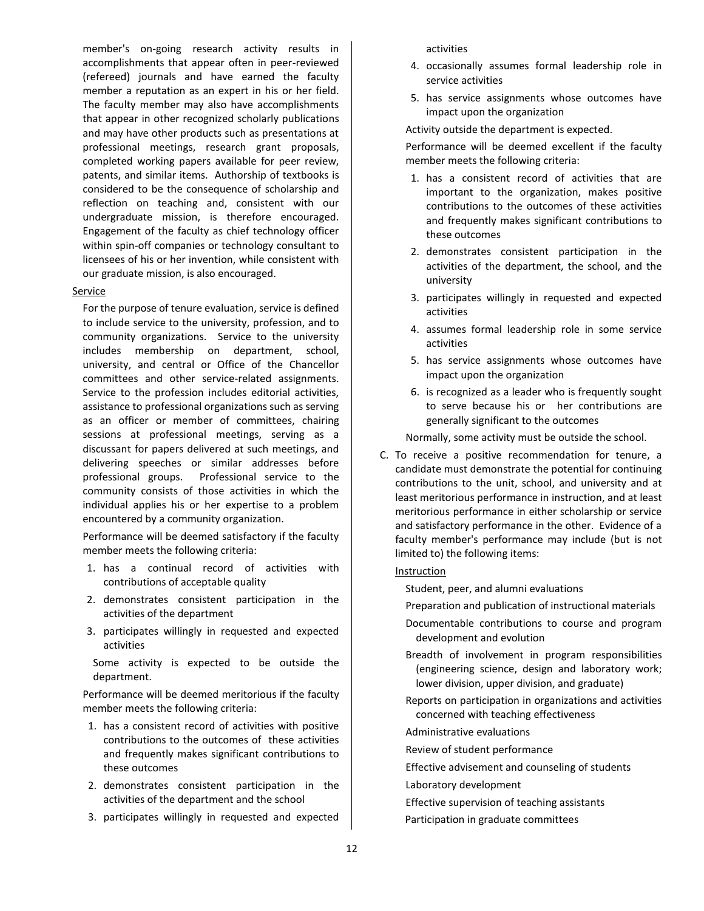member's on-going research activity results in accomplishments that appear often in peer-reviewed (refereed) journals and have earned the faculty member a reputation as an expert in his or her field. The faculty member may also have accomplishments that appear in other recognized scholarly publications and may have other products such as presentations at professional meetings, research grant proposals, completed working papers available for peer review, patents, and similar items. Authorship of textbooks is considered to be the consequence of scholarship and reflection on teaching and, consistent with our undergraduate mission, is therefore encouraged. Engagement of the faculty as chief technology officer within spin-off companies or technology consultant to licensees of his or her invention, while consistent with our graduate mission, is also encouraged.

#### Service

For the purpose of tenure evaluation, service is defined to include service to the university, profession, and to community organizations. Service to the university includes membership on department, school, university, and central or Office of the Chancellor committees and other service-related assignments. Service to the profession includes editorial activities, assistance to professional organizations such as serving as an officer or member of committees, chairing sessions at professional meetings, serving as a discussant for papers delivered at such meetings, and delivering speeches or similar addresses before professional groups. Professional service to the community consists of those activities in which the individual applies his or her expertise to a problem encountered by a community organization.

Performance will be deemed satisfactory if the faculty member meets the following criteria:

- 1. has a continual record of activities with contributions of acceptable quality
- 2. demonstrates consistent participation in the activities of the department
- 3. participates willingly in requested and expected activities

Some activity is expected to be outside the department.

Performance will be deemed meritorious if the faculty member meets the following criteria:

- 1. has a consistent record of activities with positive contributions to the outcomes of these activities and frequently makes significant contributions to these outcomes
- 2. demonstrates consistent participation in the activities of the department and the school
- 3. participates willingly in requested and expected

activities

- 4. occasionally assumes formal leadership role in service activities
- 5. has service assignments whose outcomes have impact upon the organization

Activity outside the department is expected.

Performance will be deemed excellent if the faculty member meets the following criteria:

- 1. has a consistent record of activities that are important to the organization, makes positive contributions to the outcomes of these activities and frequently makes significant contributions to these outcomes
- 2. demonstrates consistent participation in the activities of the department, the school, and the university
- 3. participates willingly in requested and expected activities
- 4. assumes formal leadership role in some service activities
- 5. has service assignments whose outcomes have impact upon the organization
- 6. is recognized as a leader who is frequently sought to serve because his or her contributions are generally significant to the outcomes

Normally, some activity must be outside the school.

C. To receive a positive recommendation for tenure, a candidate must demonstrate the potential for continuing contributions to the unit, school, and university and at least meritorious performance in instruction, and at least meritorious performance in either scholarship or service and satisfactory performance in the other. Evidence of a faculty member's performance may include (but is not limited to) the following items:

#### Instruction

Student, peer, and alumni evaluations

- Preparation and publication of instructional materials
- Documentable contributions to course and program development and evolution
- Breadth of involvement in program responsibilities (engineering science, design and laboratory work; lower division, upper division, and graduate)
- Reports on participation in organizations and activities concerned with teaching effectiveness
- Administrative evaluations
- Review of student performance
- Effective advisement and counseling of students
- Laboratory development
- Effective supervision of teaching assistants
- Participation in graduate committees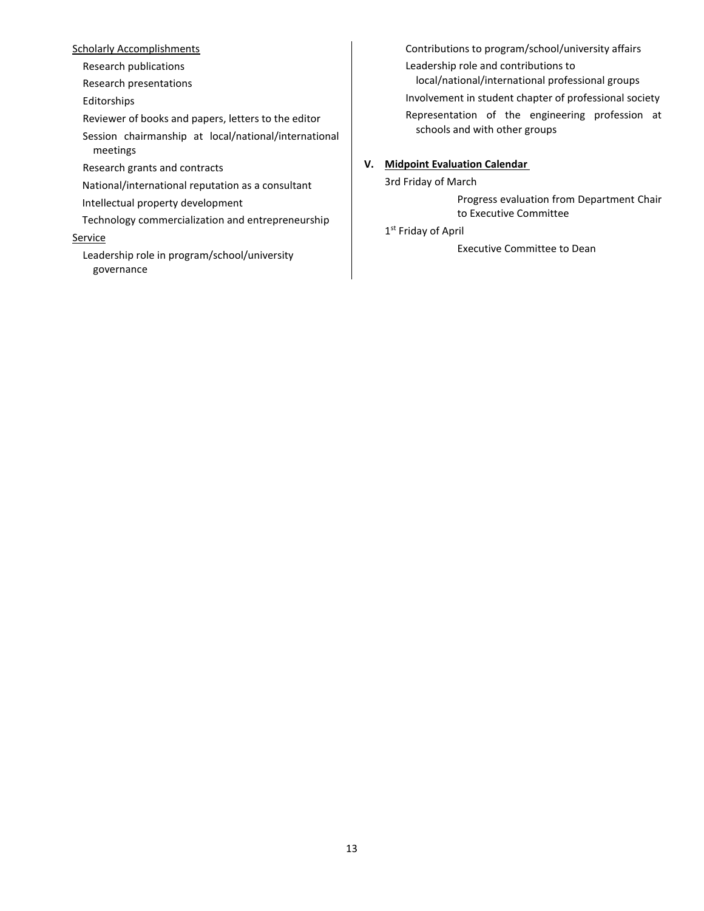#### **Scholarly Accomplishments**

Research publications

Research presentations

Editorships

Reviewer of books and papers, letters to the editor

Session chairmanship at local/national/international meetings

Research grants and contracts

National/international reputation as a consultant

Intellectual property development

Technology commercialization and entrepreneurship

#### **Service**

Leadership role in program/school/university governance

Contributions to program/school/university affairs Leadership role and contributions to local/national/international professional groups

Involvement in student chapter of professional society

Representation of the engineering profession at schools and with other groups

# **V. Midpoint Evaluation Calendar**

3rd Friday of March

Progress evaluation from Department Chair to Executive Committee

1st Friday of April

Executive Committee to Dean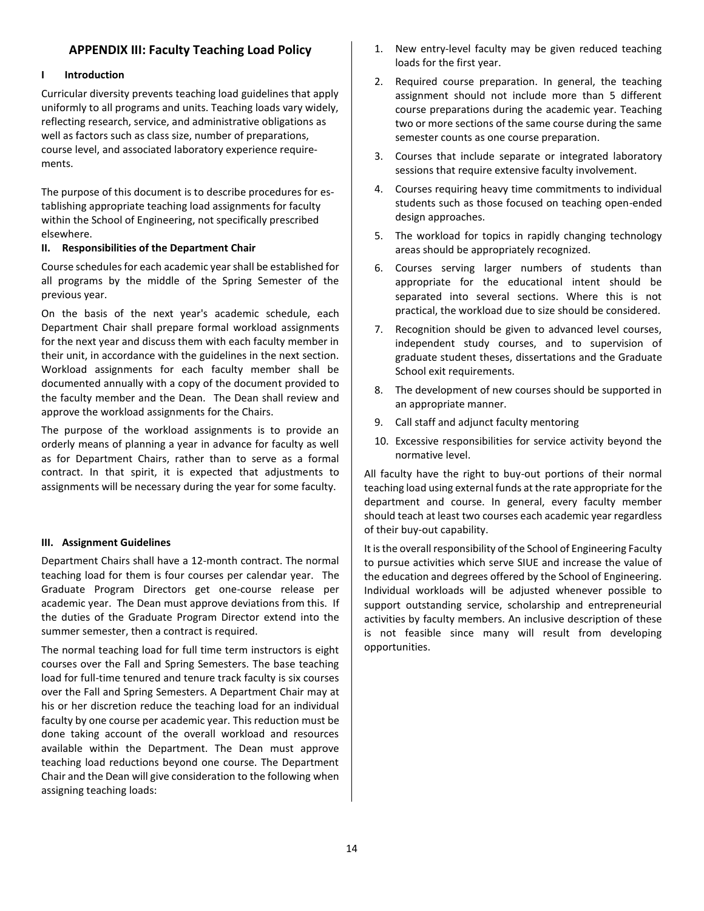# **APPENDIX III: Faculty Teaching Load Policy**

#### <span id="page-13-0"></span>**I Introduction**

Curricular diversity prevents teaching load guidelines that apply uniformly to all programs and units. Teaching loads vary widely, reflecting research, service, and administrative obligations as well as factors such as class size, number of preparations, course level, and associated laboratory experience requirements.

The purpose of this document is to describe procedures for establishing appropriate teaching load assignments for faculty within the School of Engineering, not specifically prescribed elsewhere.

#### **II. Responsibilities of the Department Chair**

Course schedules for each academic year shall be established for all programs by the middle of the Spring Semester of the previous year.

On the basis of the next year's academic schedule, each Department Chair shall prepare formal workload assignments for the next year and discuss them with each faculty member in their unit, in accordance with the guidelines in the next section. Workload assignments for each faculty member shall be documented annually with a copy of the document provided to the faculty member and the Dean. The Dean shall review and approve the workload assignments for the Chairs.

The purpose of the workload assignments is to provide an orderly means of planning a year in advance for faculty as well as for Department Chairs, rather than to serve as a formal contract. In that spirit, it is expected that adjustments to assignments will be necessary during the year for some faculty.

#### **III. Assignment Guidelines**

Department Chairs shall have a 12-month contract. The normal teaching load for them is four courses per calendar year. The Graduate Program Directors get one-course release per academic year. The Dean must approve deviations from this. If the duties of the Graduate Program Director extend into the summer semester, then a contract is required.

The normal teaching load for full time term instructors is eight courses over the Fall and Spring Semesters. The base teaching load for full-time tenured and tenure track faculty is six courses over the Fall and Spring Semesters. A Department Chair may at his or her discretion reduce the teaching load for an individual faculty by one course per academic year. This reduction must be done taking account of the overall workload and resources available within the Department. The Dean must approve teaching load reductions beyond one course. The Department Chair and the Dean will give consideration to the following when assigning teaching loads:

- 1. New entry-level faculty may be given reduced teaching loads for the first year.
- 2. Required course preparation. In general, the teaching assignment should not include more than 5 different course preparations during the academic year. Teaching two or more sections of the same course during the same semester counts as one course preparation.
- 3. Courses that include separate or integrated laboratory sessions that require extensive faculty involvement.
- 4. Courses requiring heavy time commitments to individual students such as those focused on teaching open-ended design approaches.
- 5. The workload for topics in rapidly changing technology areas should be appropriately recognized.
- 6. Courses serving larger numbers of students than appropriate for the educational intent should be separated into several sections. Where this is not practical, the workload due to size should be considered.
- 7. Recognition should be given to advanced level courses, independent study courses, and to supervision of graduate student theses, dissertations and the Graduate School exit requirements.
- 8. The development of new courses should be supported in an appropriate manner.
- 9. Call staff and adjunct faculty mentoring
- 10. Excessive responsibilities for service activity beyond the normative level.

All faculty have the right to buy-out portions of their normal teaching load using external funds at the rate appropriate for the department and course. In general, every faculty member should teach at least two courses each academic year regardless of their buy-out capability.

It is the overall responsibility of the School of Engineering Faculty to pursue activities which serve SIUE and increase the value of the education and degrees offered by the School of Engineering. Individual workloads will be adjusted whenever possible to support outstanding service, scholarship and entrepreneurial activities by faculty members. An inclusive description of these is not feasible since many will result from developing opportunities.